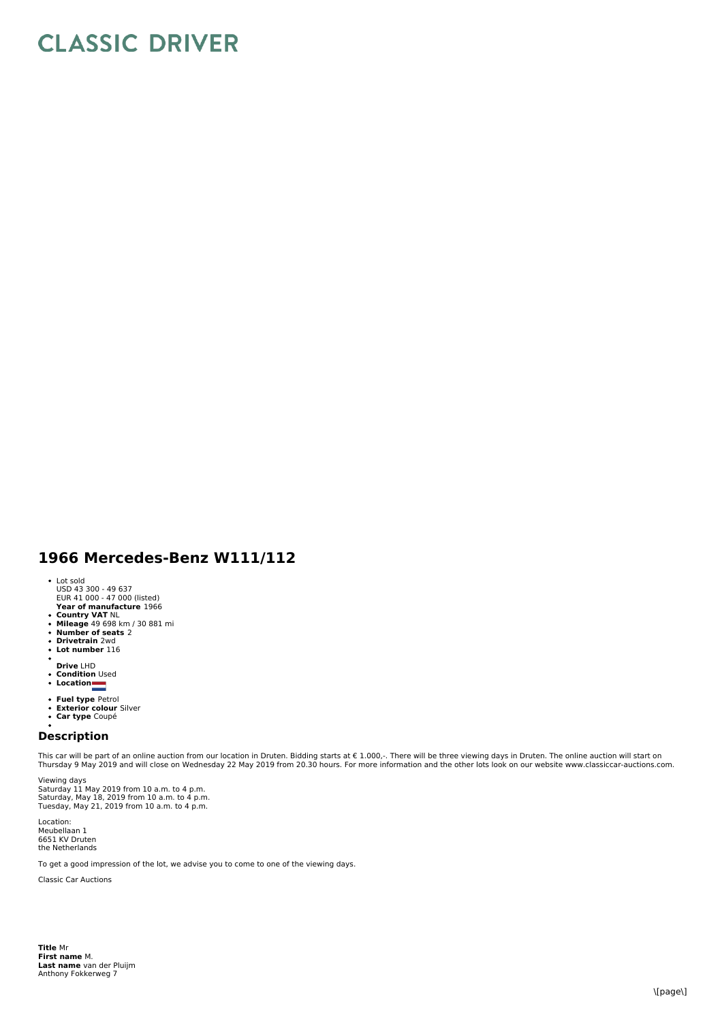## **CLASSIC DRIVER**

## **1966 Mercedes-Benz W111/112**

- 
- Lot sold USD 43 300 49 637 EUR 41 000 47 000 (listed)
- **Year of manufacture** 1966
- 
- **Country VAT** NL<br>**Mileage** 49 698 km / 30 881 mi<br>**Number of seats** 2<br>**Drivetrain** 2wd
- 
- $\ddot{\phantom{0}}$ **Lot number** 116
- 
- 
- **Drive** LHD **Condition** Used **Location**
- 
- 
- **Fuel type** Petrol<br>**Exterior colour** Silver<br>**Car type** Coupé
- 

## **Description**

This car will be part of an online auction from our location in Druten. Bidding starts at € 1.000,-. There will be three viewing days in Druten. The online auction will start on<br>Thursday 9 May 2019 and will close on Wedne

Viewing days Saturday 11 May 2019 from 10 a.m. to 4 p.m.<br>Saturday, May 18, 2019 from 10 a.m. to 4 p.m.<br>Tuesday, May 21, 2019 from 10 a.m. to 4 p.m.

Location: Meubellaan 1 6651 KV Druten the Netherlands

To get a good impression of the lot, we advise you to come to one of the viewing days.

Classic Car Auctions